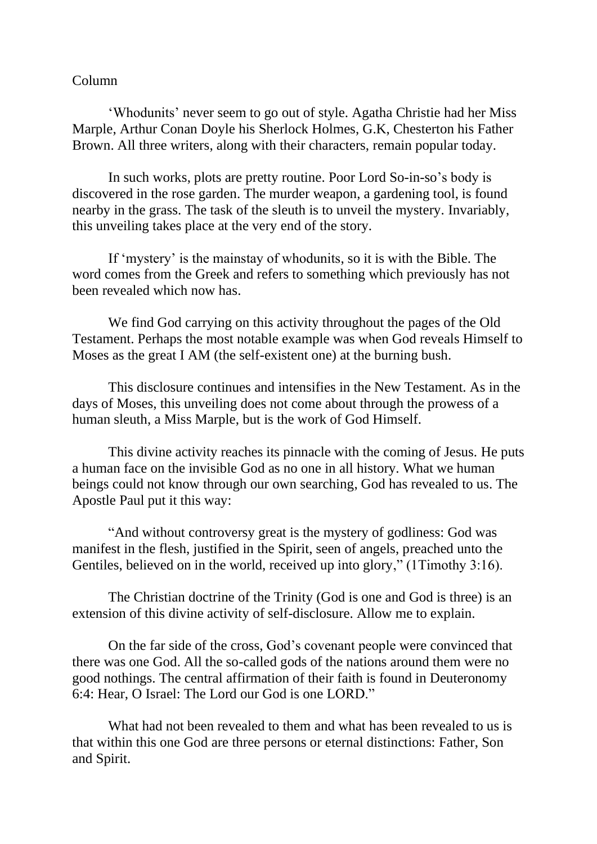## Column

'Whodunits' never seem to go out of style. Agatha Christie had her Miss Marple, Arthur Conan Doyle his Sherlock Holmes, G.K, Chesterton his Father Brown. All three writers, along with their characters, remain popular today.

In such works, plots are pretty routine. Poor Lord So-in-so's body is discovered in the rose garden. The murder weapon, a gardening tool, is found nearby in the grass. The task of the sleuth is to unveil the mystery. Invariably, this unveiling takes place at the very end of the story.

If 'mystery' is the mainstay of whodunits, so it is with the Bible. The word comes from the Greek and refers to something which previously has not been revealed which now has.

We find God carrying on this activity throughout the pages of the Old Testament. Perhaps the most notable example was when God reveals Himself to Moses as the great I AM (the self-existent one) at the burning bush.

This disclosure continues and intensifies in the New Testament. As in the days of Moses, this unveiling does not come about through the prowess of a human sleuth, a Miss Marple, but is the work of God Himself.

This divine activity reaches its pinnacle with the coming of Jesus. He puts a human face on the invisible God as no one in all history. What we human beings could not know through our own searching, God has revealed to us. The Apostle Paul put it this way:

"And without controversy great is the mystery of godliness: God was manifest in the flesh, justified in the Spirit, seen of angels, preached unto the Gentiles, believed on in the world, received up into glory," (1Timothy 3:16).

The Christian doctrine of the Trinity (God is one and God is three) is an extension of this divine activity of self-disclosure. Allow me to explain.

On the far side of the cross, God's covenant people were convinced that there was one God. All the so-called gods of the nations around them were no good nothings. The central affirmation of their faith is found in Deuteronomy 6:4: Hear, O Israel: The Lord our God is one LORD."

What had not been revealed to them and what has been revealed to us is that within this one God are three persons or eternal distinctions: Father, Son and Spirit.